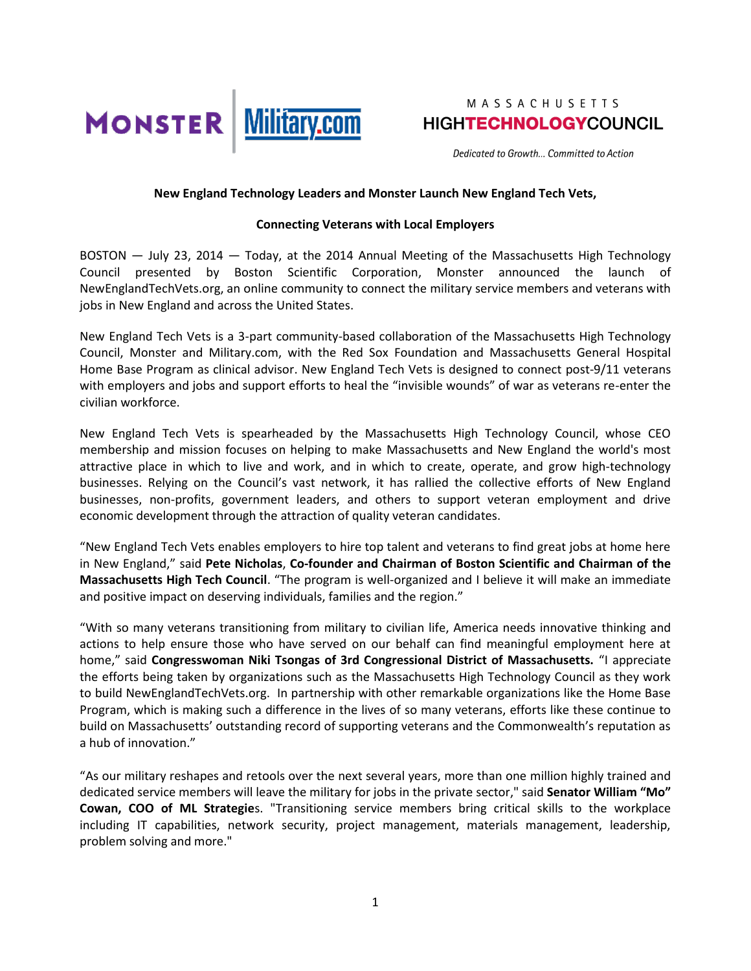

Dedicated to Growth... Committed to Action

### **New England Technology Leaders and Monster Launch New England Tech Vets,**

### **Connecting Veterans with Local Employers**

BOSTON — July 23, 2014 — Today, at the 2014 Annual Meeting of the Massachusetts High Technology Council presented by Boston Scientific Corporation, Monster announced the launch of NewEnglandTechVets.org, an online community to connect the military service members and veterans with jobs in New England and across the United States.

New England Tech Vets is a 3-part community-based collaboration of the Massachusetts High Technology Council, Monster and Military.com, with the Red Sox Foundation and Massachusetts General Hospital Home Base Program as clinical advisor. New England Tech Vets is designed to connect post-9/11 veterans with employers and jobs and support efforts to heal the "invisible wounds" of war as veterans re-enter the civilian workforce.

New England Tech Vets is spearheaded by the Massachusetts High Technology Council, whose CEO membership and mission focuses on helping to make Massachusetts and New England the world's most attractive place in which to live and work, and in which to create, operate, and grow high-technology businesses. Relying on the Council's vast network, it has rallied the collective efforts of New England businesses, non-profits, government leaders, and others to support veteran employment and drive economic development through the attraction of quality veteran candidates.

"New England Tech Vets enables employers to hire top talent and veterans to find great jobs at home here in New England," said **Pete Nicholas**, **Co-founder and Chairman of Boston Scientific and Chairman of the Massachusetts High Tech Council**. "The program is well-organized and I believe it will make an immediate and positive impact on deserving individuals, families and the region."

"With so many veterans transitioning from military to civilian life, America needs innovative thinking and actions to help ensure those who have served on our behalf can find meaningful employment here at home," said **Congresswoman Niki Tsongas of 3rd Congressional District of Massachusetts.** "I appreciate the efforts being taken by organizations such as the Massachusetts High Technology Council as they work to build NewEnglandTechVets.org. In partnership with other remarkable organizations like the Home Base Program, which is making such a difference in the lives of so many veterans, efforts like these continue to build on Massachusetts' outstanding record of supporting veterans and the Commonwealth's reputation as a hub of innovation."

"As our military reshapes and retools over the next several years, more than one million highly trained and dedicated service members will leave the military for jobs in the private sector," said **Senator William "Mo" Cowan, COO of ML Strategie**s. "Transitioning service members bring critical skills to the workplace including IT capabilities, network security, project management, materials management, leadership, problem solving and more."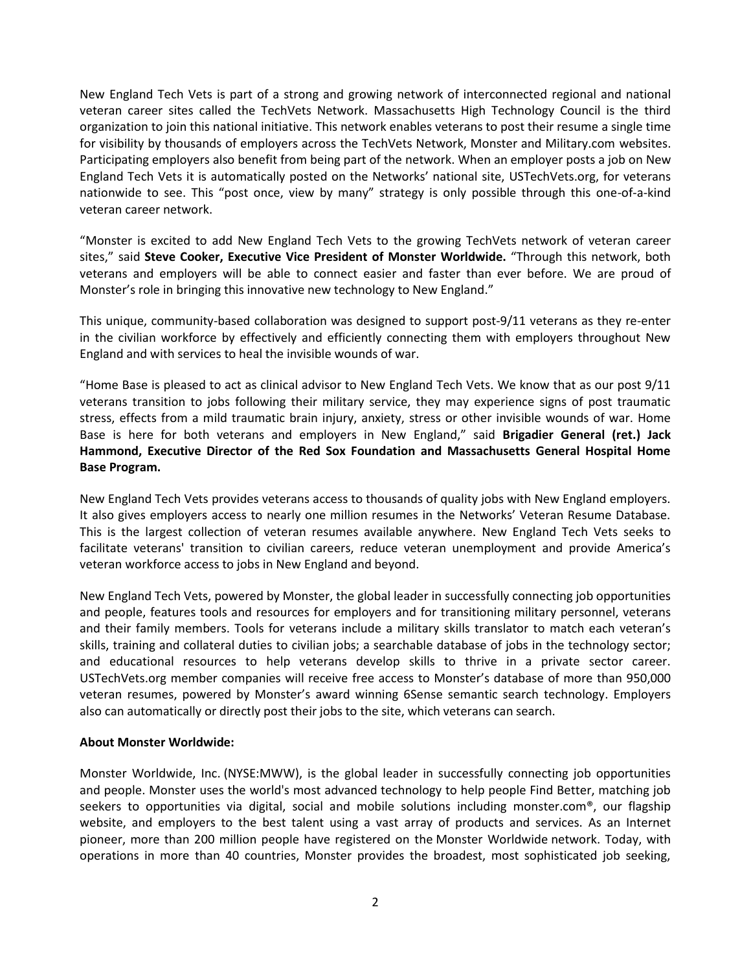New England Tech Vets is part of a strong and growing network of interconnected regional and national veteran career sites called the TechVets Network. Massachusetts High Technology Council is the third organization to join this national initiative. This network enables veterans to post their resume a single time for visibility by thousands of employers across the TechVets Network, Monster and Military.com websites. Participating employers also benefit from being part of the network. When an employer posts a job on New England Tech Vets it is automatically posted on the Networks' national site, USTechVets.org, for veterans nationwide to see. This "post once, view by many" strategy is only possible through this one-of-a-kind veteran career network.

"Monster is excited to add New England Tech Vets to the growing TechVets network of veteran career sites," said **Steve Cooker, Executive Vice President of Monster Worldwide.** "Through this network, both veterans and employers will be able to connect easier and faster than ever before. We are proud of Monster's role in bringing this innovative new technology to New England."

This unique, community-based collaboration was designed to support post-9/11 veterans as they re-enter in the civilian workforce by effectively and efficiently connecting them with employers throughout New England and with services to heal the invisible wounds of war.

"Home Base is pleased to act as clinical advisor to New England Tech Vets. We know that as our post 9/11 veterans transition to jobs following their military service, they may experience signs of post traumatic stress, effects from a mild traumatic brain injury, anxiety, stress or other invisible wounds of war. Home Base is here for both veterans and employers in New England," said **Brigadier General (ret.) Jack Hammond, Executive Director of the Red Sox Foundation and Massachusetts General Hospital Home Base Program.**

New England Tech Vets provides veterans access to thousands of quality jobs with New England employers. It also gives employers access to nearly one million resumes in the Networks' Veteran Resume Database. This is the largest collection of veteran resumes available anywhere. New England Tech Vets seeks to facilitate veterans' transition to civilian careers, reduce veteran unemployment and provide America's veteran workforce access to jobs in New England and beyond.

New England Tech Vets, powered by Monster, the global leader in successfully connecting job opportunities and people, features tools and resources for employers and for transitioning military personnel, veterans and their family members. Tools for veterans include a military skills translator to match each veteran's skills, training and collateral duties to civilian jobs; a searchable database of jobs in the technology sector; and educational resources to help veterans develop skills to thrive in a private sector career. USTechVets.org member companies will receive free access to Monster's database of more than 950,000 veteran resumes, powered by Monster's award winning 6Sense semantic search technology. Employers also can automatically or directly post their jobs to the site, which veterans can search.

### **About Monster Worldwide:**

Monster Worldwide, Inc. (NYSE:MWW), is the global leader in successfully connecting job opportunities and people. Monster uses the world's most advanced technology to help people Find Better, matching job seekers to opportunities via digital, social and mobile solutions including monster.com®, our flagship website, and employers to the best talent using a vast array of products and services. As an Internet pioneer, more than 200 million people have registered on the Monster Worldwide network. Today, with operations in more than 40 countries, Monster provides the broadest, most sophisticated job seeking,